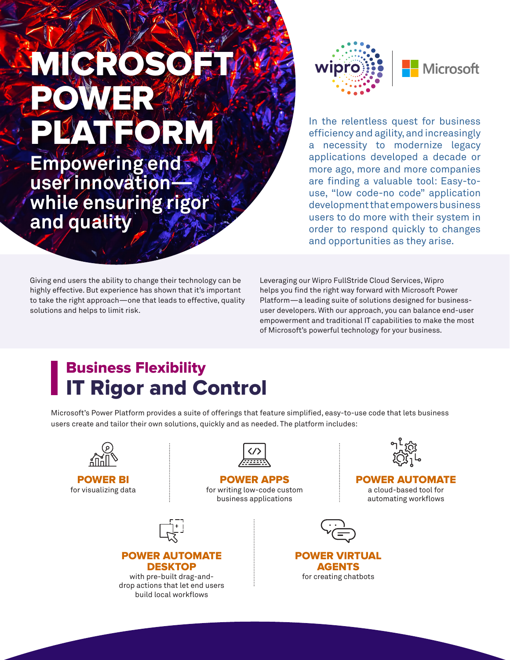# **MICROSO** POWER **PATEORM**

**Empowering end user innovation while ensuring rigor and quality**



In the relentless quest for business efficiency and agility, and increasingly a necessity to modernize legacy applications developed a decade or more ago, more and more companies are finding a valuable tool: Easy-touse, "low code-no code" application development that empowers business users to do more with their system in order to respond quickly to changes and opportunities as they arise.

Giving end users the ability to change their technology can be highly effective. But experience has shown that it's important to take the right approach—one that leads to effective, quality solutions and helps to limit risk.

Leveraging our Wipro FullStride Cloud Services, Wipro helps you find the right way forward with Microsoft Power Platform—a leading suite of solutions designed for businessuser developers. With our approach, you can balance end-user empowerment and traditional IT capabilities to make the most of Microsoft's powerful technology for your business.

## Business Flexibility IT Rigor and Control

Microsoft's Power Platform provides a suite of offerings that feature simplified, easy-to-use code that lets business users create and tailor their own solutions, quickly and as needed. The platform includes: